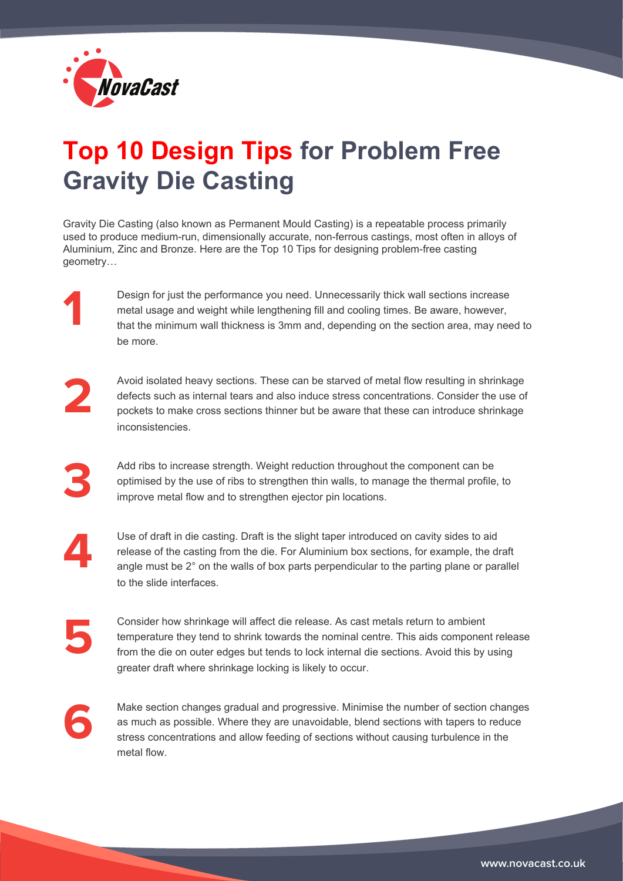

## **Top 10 Design Tips for Problem Free Gravity Die Casting**

Gravity Die Casting (also known as Permanent Mould Casting) is a repeatable process primarily used to produce medium-run, dimensionally accurate, non-ferrous castings, most often in alloys of Aluminium, Zinc and Bronze. Here are the Top 10 Tips for designing problem-free casting geometry…

> Design for just the performance you need. Unnecessarily thick wall sections increase metal usage and weight while lengthening fill and cooling times. Be aware, however, that the minimum wall thickness is 3mm and, depending on the section area, may need to be more.

**2**

**1**

Avoid isolated heavy sections. These can be starved of metal flow resulting in shrinkage defects such as internal tears and also induce stress concentrations. Consider the use of pockets to make cross sections thinner but be aware that these can introduce shrinkage inconsistencies.

Add ribs to increase strength. Weight reduction throughout the component can be optimised by the use of ribs to strengthen thin walls, to manage the thermal profile, to improve metal flow and to strengthen ejector pin locations.

**4**

**3**

Use of draft in die casting. Draft is the slight taper introduced on cavity sides to aid release of the casting from the die. For Aluminium box sections, for example, the draft angle must be 2° on the walls of box parts perpendicular to the parting plane or parallel to the slide interfaces.

**5**

Consider how shrinkage will affect die release. As cast metals return to ambient temperature they tend to shrink towards the nominal centre. This aids component release from the die on outer edges but tends to lock internal die sections. Avoid this by using greater draft where shrinkage locking is likely to occur.

**6**

Make section changes gradual and progressive. Minimise the number of section changes as much as possible. Where they are unavoidable, blend sections with tapers to reduce stress concentrations and allow feeding of sections without causing turbulence in the metal flow.